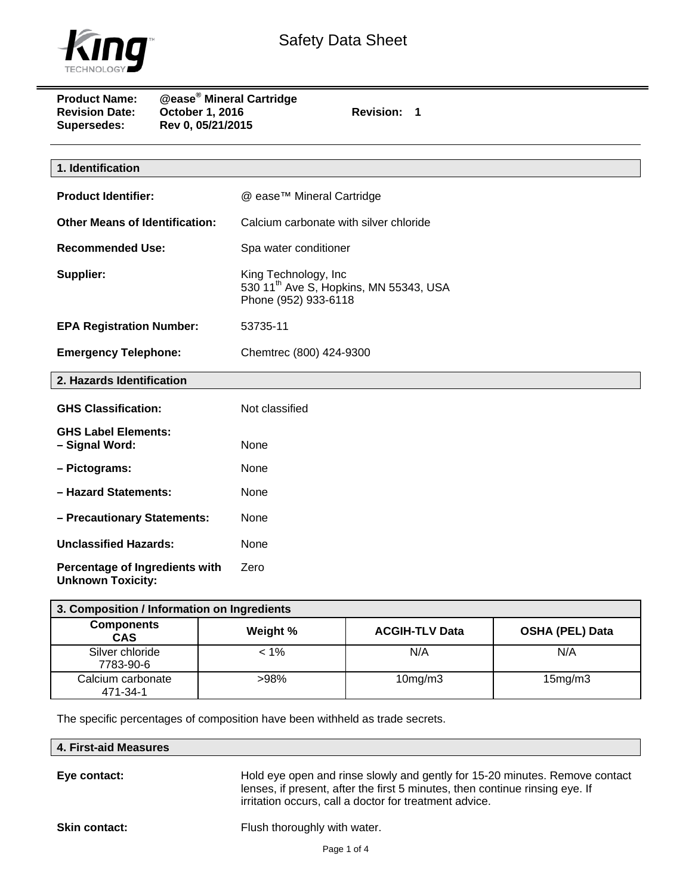

 $\qquad \qquad =$ 

| <b>Product Name:</b><br><b>Revision Date:</b><br><b>Supersedes:</b> | <b>@ease<sup>®</sup> Mineral Cartridge</b><br>October 1, 2016<br>Rev 0, 05/21/2015 | <b>Revision:</b><br>$\mathbf 1$                                                                    |
|---------------------------------------------------------------------|------------------------------------------------------------------------------------|----------------------------------------------------------------------------------------------------|
|                                                                     |                                                                                    |                                                                                                    |
| 1. Identification                                                   |                                                                                    |                                                                                                    |
| <b>Product Identifier:</b>                                          |                                                                                    | @ ease™ Mineral Cartridge                                                                          |
| <b>Other Means of Identification:</b>                               |                                                                                    | Calcium carbonate with silver chloride                                                             |
| <b>Recommended Use:</b>                                             |                                                                                    | Spa water conditioner                                                                              |
| Supplier:                                                           |                                                                                    | King Technology, Inc<br>530 11 <sup>th</sup> Ave S, Hopkins, MN 55343, USA<br>Phone (952) 933-6118 |
| <b>EPA Registration Number:</b>                                     |                                                                                    | 53735-11                                                                                           |
| <b>Emergency Telephone:</b>                                         |                                                                                    | Chemtrec (800) 424-9300                                                                            |
| 2. Hazards Identification                                           |                                                                                    |                                                                                                    |
| <b>GHS Classification:</b>                                          |                                                                                    | Not classified                                                                                     |
| <b>GHS Label Elements:</b><br>- Signal Word:                        |                                                                                    | None                                                                                               |
| - Pictograms:                                                       |                                                                                    | None                                                                                               |
| - Hazard Statements:                                                |                                                                                    | None                                                                                               |
| - Precautionary Statements:                                         |                                                                                    | None                                                                                               |
| <b>Unclassified Hazards:</b>                                        |                                                                                    | None                                                                                               |
| Percentage of Ingredients with<br><b>Unknown Toxicity:</b>          |                                                                                    | Zero                                                                                               |

| 3. Composition / Information on Ingredients |          |                       |                        |  |
|---------------------------------------------|----------|-----------------------|------------------------|--|
| <b>Components</b><br><b>CAS</b>             | Weight % | <b>ACGIH-TLV Data</b> | <b>OSHA (PEL) Data</b> |  |
| Silver chloride<br>7783-90-6                | $< 1\%$  | N/A                   | N/A                    |  |
| Calcium carbonate<br>471-34-1               | $>98\%$  | $10$ mg/m $3$         | 15mg/m3                |  |

The specific percentages of composition have been withheld as trade secrets.

| 4. First-aid Measures |  |
|-----------------------|--|
|-----------------------|--|

**Eye contact:** Hold eye open and rinse slowly and gently for 15-20 minutes. Remove contact lenses, if present, after the first 5 minutes, then continue rinsing eye. If irritation occurs, call a doctor for treatment advice.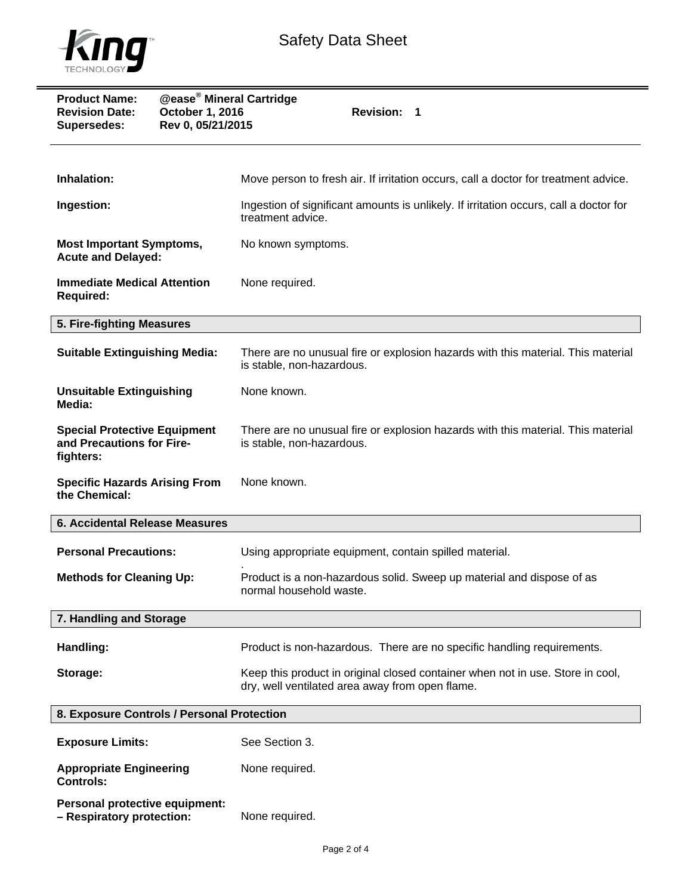

| <b>Product Name:</b><br><b>Revision Date:</b><br>October 1, 2016<br>Rev 0, 05/21/2015<br><b>Supersedes:</b> | <b>@ease<sup>®</sup> Mineral Cartridge</b><br>Revision: 1                                                                         |  |
|-------------------------------------------------------------------------------------------------------------|-----------------------------------------------------------------------------------------------------------------------------------|--|
| Inhalation:                                                                                                 | Move person to fresh air. If irritation occurs, call a doctor for treatment advice.                                               |  |
| Ingestion:                                                                                                  | Ingestion of significant amounts is unlikely. If irritation occurs, call a doctor for<br>treatment advice.                        |  |
| <b>Most Important Symptoms,</b><br><b>Acute and Delayed:</b>                                                | No known symptoms.                                                                                                                |  |
| <b>Immediate Medical Attention</b><br><b>Required:</b>                                                      | None required.                                                                                                                    |  |
| 5. Fire-fighting Measures                                                                                   |                                                                                                                                   |  |
| <b>Suitable Extinguishing Media:</b>                                                                        | There are no unusual fire or explosion hazards with this material. This material<br>is stable, non-hazardous.                     |  |
| <b>Unsuitable Extinguishing</b><br>Media:                                                                   | None known.                                                                                                                       |  |
| <b>Special Protective Equipment</b><br>and Precautions for Fire-<br>fighters:                               | There are no unusual fire or explosion hazards with this material. This material<br>is stable, non-hazardous.                     |  |
| <b>Specific Hazards Arising From</b><br>the Chemical:                                                       | None known.                                                                                                                       |  |
| <b>6. Accidental Release Measures</b>                                                                       |                                                                                                                                   |  |
| <b>Personal Precautions:</b>                                                                                | Using appropriate equipment, contain spilled material.                                                                            |  |
| <b>Methods for Cleaning Up:</b>                                                                             | Product is a non-hazardous solid. Sweep up material and dispose of as<br>normal household waste.                                  |  |
| 7. Handling and Storage                                                                                     |                                                                                                                                   |  |
| Handling:                                                                                                   | Product is non-hazardous. There are no specific handling requirements.                                                            |  |
| Storage:                                                                                                    | Keep this product in original closed container when not in use. Store in cool,<br>dry, well ventilated area away from open flame. |  |
| 8. Exposure Controls / Personal Protection                                                                  |                                                                                                                                   |  |
| <b>Exposure Limits:</b>                                                                                     | See Section 3.                                                                                                                    |  |
| <b>Appropriate Engineering</b><br><b>Controls:</b>                                                          | None required.                                                                                                                    |  |
| Personal protective equipment:                                                                              |                                                                                                                                   |  |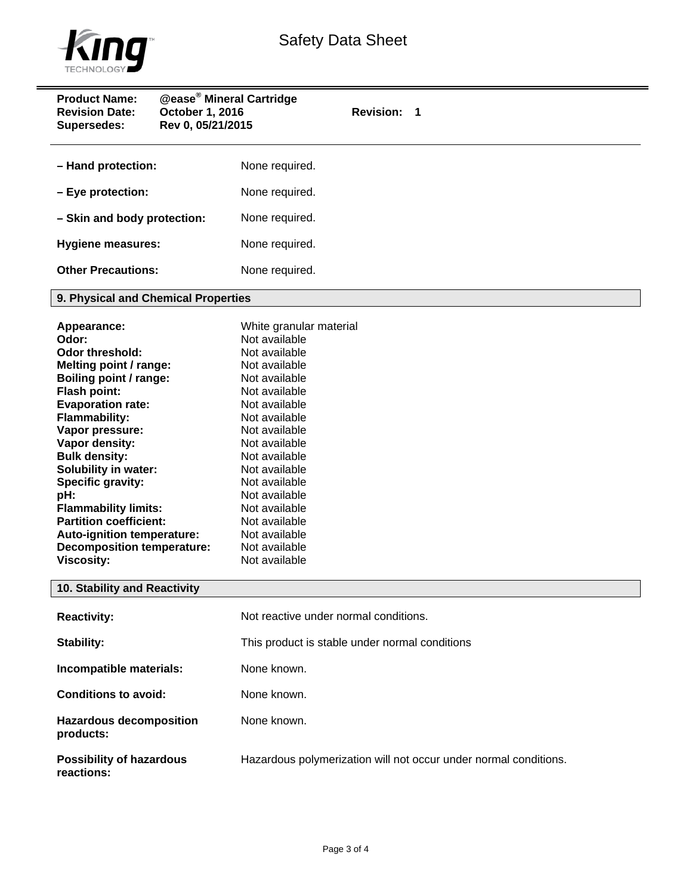

| <b>Product Name:</b><br><b>Revision Date:</b><br>October 1, 2016<br>Rev 0, 05/21/2015<br>Supersedes: | <b>@ease<sup>®</sup> Mineral Cartridge</b><br>Revision: 1        |
|------------------------------------------------------------------------------------------------------|------------------------------------------------------------------|
| - Hand protection:                                                                                   | None required.                                                   |
| - Eye protection:                                                                                    | None required.                                                   |
| - Skin and body protection:                                                                          | None required.                                                   |
| <b>Hygiene measures:</b>                                                                             | None required.                                                   |
| <b>Other Precautions:</b>                                                                            | None required.                                                   |
| 9. Physical and Chemical Properties                                                                  |                                                                  |
| Appearance:                                                                                          | White granular material                                          |
| Odor:                                                                                                | Not available                                                    |
| <b>Odor threshold:</b>                                                                               | Not available                                                    |
| Melting point / range:                                                                               | Not available                                                    |
| Boiling point / range:                                                                               | Not available                                                    |
| Flash point:                                                                                         | Not available                                                    |
| <b>Evaporation rate:</b>                                                                             | Not available                                                    |
| <b>Flammability:</b>                                                                                 | Not available                                                    |
| Vapor pressure:                                                                                      | Not available                                                    |
| Vapor density:                                                                                       | Not available                                                    |
| <b>Bulk density:</b>                                                                                 | Not available                                                    |
| Solubility in water:                                                                                 | Not available                                                    |
| Specific gravity:                                                                                    | Not available                                                    |
| pH:                                                                                                  | Not available                                                    |
| <b>Flammability limits:</b>                                                                          | Not available                                                    |
| <b>Partition coefficient:</b>                                                                        | Not available                                                    |
| Auto-ignition temperature:                                                                           | Not available                                                    |
| <b>Decomposition temperature:</b>                                                                    | Not available                                                    |
| <b>Viscosity:</b>                                                                                    | Not available                                                    |
| 10. Stability and Reactivity                                                                         |                                                                  |
| <b>Reactivity:</b>                                                                                   | Not reactive under normal conditions.                            |
| Stability:                                                                                           | This product is stable under normal conditions                   |
| Incompatible materials:                                                                              | None known.                                                      |
| <b>Conditions to avoid:</b>                                                                          | None known.                                                      |
| <b>Hazardous decomposition</b><br>products:                                                          | None known.                                                      |
| <b>Possibility of hazardous</b><br>reactions:                                                        | Hazardous polymerization will not occur under normal conditions. |